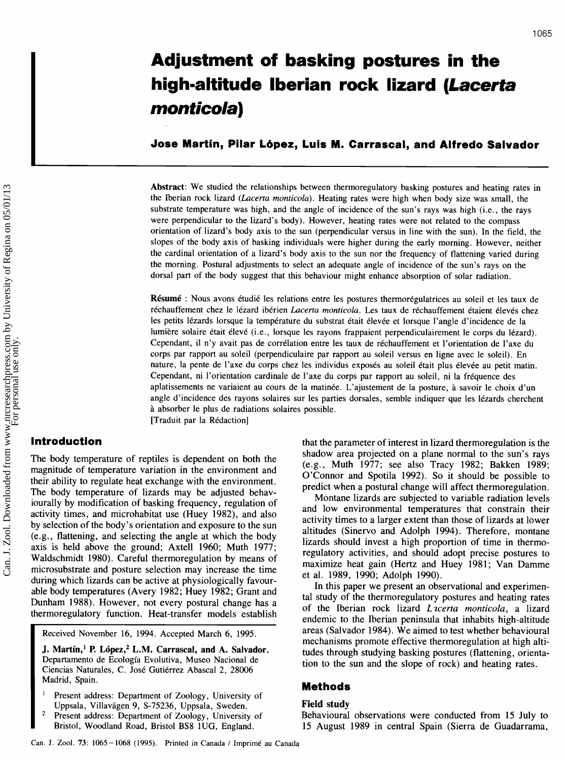# Can. J. Zool. Downloaded from www.nrcresearchpress.com by University of Regina on 05/01/13 Can. J. Zool. Downloaded from www.nrcresearchpress.com by University of Regina on 05/01/13

# **Adjustment of basking postures in the hig h-altitude l berian rock lizard (Lacerta monticola)**

**Jose Martin, Pilar Lbpez, Luis M. Carrascal, and Alfredo Salvador** 

**Abstract:** We studied the relationships between thermoregulatory basking postures and heating rates in the Iberian rock lizard (Lacerta monticola). Heating rates were high when body size was small, the substrate temperature was high, and the angle of incidence of the sun's rays was high (i.e., the rays were perpendicular to the lizard's body). However, heating rates were not related to the compass orientation of lizard's body axis to the sun (perpendicular versus in line with the sun). In the field, the slopes of the body axis of basking individuals were higher during the early morning. However, neither the cardinal orientation of a lizard's body axis to the sun nor the frequency of flattening varied during the morning. Postural adjustments to select an adequate angle of incidence of the sun's rays on the dorsal part of the body suggest that this behaviour might enhance absorption of solar radiation.

**Résumé** : Nous avons étudié les relations entre les postures thermorégulatrices au soleil et les taux de réchauffement chez le lézard ibérien *Lacerta monticola*. Les taux de réchauffement étaient élevés chez les petits lézards lorsque la température du substrat était élevée et lorsque l'angle d'incidence de la lumière solaire était élevé (i.e., lorsque les rayons frappaient perpendiculairement le corps du lézard). Cependant, il n'y avait pas de corrélation entre les taux de réchauffement et l'orientation de l'axe du corps par rapport au soleil (perpendiculaire par rapport au soleil versus en ligne avec le soleil). En nature, la pente de l'axe du corps chez les individus exposés au soleil était plus élevée au petit matin. Cependant, ni l'orientation cardinale de l'axe du corps par rapport au soleil, ni la fréquence des aplatissements ne variaient au cours de la matinée. L'ajustement de la posture, à savoir le choix d'un angle d'incidence des rayons solaires sur les parties dorsales, semble indiquer que les lézards cherchent *h* absorber le plus de radiations solaires possible. [Traduit par la Rédaction]

The body temperature of reptiles is dependent on both the magnitude of temperature variation in the environment and their ability to regulate heat exchange with the environment. The body temperature of lizards may be adjusted behaviourally by modification of basking frequency, regulation of activity times, and microhabitat use (Huey 1982), and also by selection of the body's orientation and exposure to the sun (e.g., flattening, and selecting the angle at which the body axis is held above the ground; Axtell 1960; Muth 1977; Waldschmidt 1980). Careful thermoregulation by means of microsubstrate and posture selection may increase the time during which lizards can be active at physiologically favourable body temperatures (Avery 1982; Huey 1982; Grant and Dunham 1988). However, not every postural change has a thermoregulatory function. Heat-transfer models establish

**I** Received November 16, 1994. Accepted March 6, 1995.

**J. Martín,<sup>1</sup> P. López,<sup>2</sup> L.M. Carrascal, and A. Salvador.** Departamento de Ecología Evolutiva, Museo Nacional de Ciencias Naturales, C. José Gutiérrez Abascal 2, 28006 Madrid, Spain. Departamento de Ecologia Evolutiva, Museo Nacional de Ciencias Naturales, C. José Gutiérrez Abascal 2, 28006

- Madrid, Spain.<br>
<sup>1</sup> Present address: Department of Zoology, University of<br>
<sup>1</sup> Uppsala, Villavägen 9, S-75236, Uppsala, Sweden.<br>
<sup>2</sup> Present address: Department of Zoology, University of Behavioural of<br>
Bristol, Woodland R Present address: Department of Zoology, University of Uppsala, Villavägen 9, S-75236, Uppsala, Sweden.<br>Present address: Department of Zoology, University of **Field Scharld Scharl** observations were conducted from 15 July to
	-

**Introduction that the parameter of interest in lizard thermoregulation is the** shadow area projected on a plane normal to the sun's rays (e.g., Muth 1977; see also Tracy 1982; Bakken 1989; O'Connor and Spotila 1992). So it should be possible to predict when a postural change will affect thermoregulation.

> Montane lizards are subjected to variable radiation levels and low environmental temperatures that constrain their activity times to a larger extent than those of lizards at lower altitudes (Sinervo and Adolph 1994). Therefore, montane lizards should invest a high proportion of time in thermoregulatory activities, and should adopt precise postures to maximize heat gain (Hertz and Huey 1981; Van Damme et al. 1989, 1990; Adolph 1990).

> In this paper we present an observational and experimental study of the thermoregulatory postures and heating rates of the Iberian rock lizard Lacerta monticola, a lizard endemic to the Iberian peninsula that inhabits high-altitude areas (Salvador 1984). We aimed to test whether behavioural mechanisms promote effective thermoregulation at high altitudes through studying basking postures (flattening, orientation to the sun and the slope of rock) and heating rates.

Present address: Department of Zoology, University of Behavioural observations were conducted from 15 July to Bristol, Woodland Road, Bristol BS8 1UG, England. 15 August 1989 in central Spain (Sierra de Guadarrama,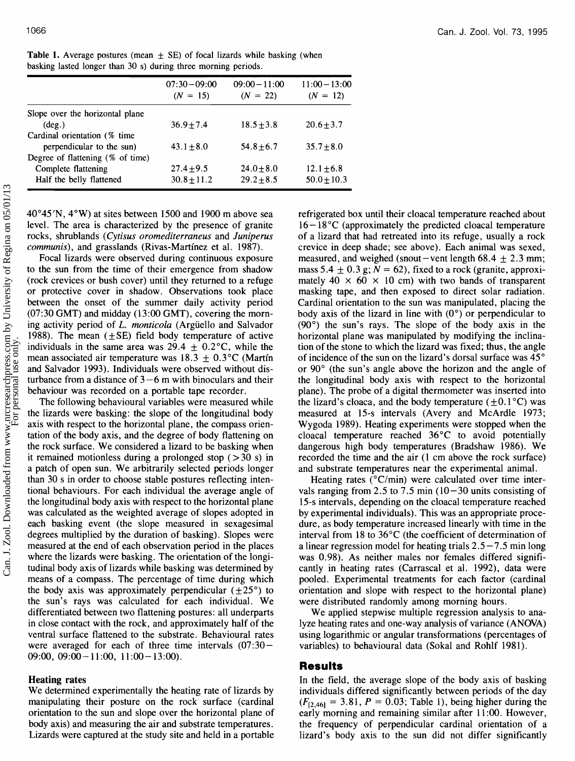|                                  | $07:30 - 09:00$<br>$(N = 15)$ | $09:00 - 11:00$<br>$(N = 22)$ | $11:00 - 13:00$<br>$(N = 12)$ |
|----------------------------------|-------------------------------|-------------------------------|-------------------------------|
| Slope over the horizontal plane  |                               |                               |                               |
| $(\text{deg.})$                  | $36.9 + 7.4$                  | $18.5 \pm 3.8$                | $20.6 + 3.7$                  |
| Cardinal orientation (% time     |                               |                               |                               |
| perpendicular to the sun)        | $43.1 + 8.0$                  | $54.8 + 6.7$                  | $35.7 + 8.0$                  |
| Degree of flattening (% of time) |                               |                               |                               |
| Complete flattening              | $27.4 + 9.5$                  | $24.0 + 8.0$                  | $12.1 \pm 6.8$                |
| Half the belly flattened         | $30.8 + 11.2$                 | $29.2 + 8.5$                  | $50.0 + 10.3$                 |

**Table 1.** Average postures (mean  $\pm$  SE) of focal lizards while basking (when basking lasted longer than 30 s) during three morning periods.

 $40^{\circ}45'$ N,  $4^{\circ}$ W) at sites between 1500 and 1900 m above sea level. The area is characterized by the presence of granite rocks, shrublands (Cytisus oromediterraneus and Juniperus communis), and grasslands (Rivas-Martínez et al. 1987).

Focal lizards were observed during continuous exposure to the sun from the time of their emergence from shadow (rock crevices or bush cover) until they returned to a refuge or protective cover in shadow. Observations took place between the onset of the summer daily activity period (07:30 GMT) and midday (13:00 GMT), covering the morning activity period of L. *monticola* (Arguello and Salvador 1988). The mean  $(\pm SE)$  field body temperature of active individuals in the same area was  $29.4 \pm 0.2$ °C, while the mean associated air temperature was  $18.3 + 0.3$  °C (Martin and Salvador 1993). Individuals were observed without disturbance from a distance of  $3 - 6$  m with binoculars and their behaviour was recorded on a portable tape recorder.

The following behavioural variables were measured while the lizards were basking: the slope of the longitudinal body axis with respect to the horizontal plane, the compass orientation of the body axis, and the degree of body flattening on the rock surface. We considered a lizard to be basking when it remained motionless during a prolonged stop  $($ >30 s) in a patch of open sun. We arbitrarily selected periods longer than 30 s in order to choose stable postures reflecting intentional behaviours. For each individual the average angle of the longitudinal body axis with respect to the horizontal plane was calculated as the weighted average of slopes adopted in each basking event (the slope measured in sexagesimal degrees multiplied by the duration of basking). Slopes were measured at the end of each observation period in the places where the lizards were basking. The orientation of the longitudinal body axis of lizards while basking was determined by means of a compass. The percentage of time during which the body axis was approximately perpendicular  $(\pm 25^{\circ})$  to the sun's rays was calculated for each individual. We differentiated between two flattening postures: all underparts in close contact with the rock, and approximately half of the ventral surface flattened to the substrate. Behavioural rates were averaged for each of three time intervals  $(07:30 -$ 09:00,  $09:00-11:00$ ,  $11:00-13:00$ ).

### **Heating rates**

We determined experimentally the heating rate of lizards by manipulating their posture on the rock surface (cardinal orientation to the sun and slope over the horizontal plane of body axis) and measuring the air and substrate temperatures. Lizards were captured at the study site and held in a portable

refrigerated box until their cloacal temperature reached about  $16 - 18$  °C (approximately the predicted cloacal temperature of a lizard that had retreated into its refuge, usually a rock crevice in deep shade; see above). Each animal was sexed, measured, and weighed (snout -vent length  $68.4 \pm 2.3$  mm; mass 5.4  $\pm$  0.3 g; N = 62), fixed to a rock (granite, approximately  $40 \times 60 \times 10$  cm) with two bands of transparent masking tape, and then exposed to direct solar radiation. Cardinal orientation to the sun was manipulated, placing the body axis of the lizard in line with  $(0^{\circ})$  or perpendicular to (90") the sun's rays. The slope of the body axis in the horizontal plane was manipulated by modifying the inclination of the stone to which the lizard was fixed; thus, the angle of incidence of the sun on the lizard's dorsal surface was 45" or 90" (the sun's angle above the horizon and the angle of the longitudinal body axis with respect to the horizontal plane). The probe of a digital thermometer was inserted into the lizard's cloaca, and the body temperature  $(\pm 0.1^{\circ}C)$  was measured at 15-s intervals (Avery and McArdle 1973; Wygoda 1989). Heating experiments were stopped when the cloacal temperature reached 36°C to avoid potentially dangerous high body temperatures (Bradshaw 1986). We recorded the time and the air (1 cm above the rock surface) and substrate temperatures near the experimental animal.

Heating rates ( $\rm{°C/min}$ ) were calculated over time intervals ranging from 2.5 to 7.5 min  $(10-30)$  units consisting of 15-s intervals, depending on the cloacal temperature reached by experimental individuals). This was an appropriate procedure, as body temperature increased linearly with time in the interval from 18 to 36°C (the coefficient of determination of a linear regression model for heating trials  $2.5 - 7.5$  min long was 0.98). As neither males nor females differed significantly in heating rates (Carrascal et al. 1992), data were pooled. Experimental treatments for each factor (cardinal orientation and slope with respect to the horizontal plane) were distributed randomly among morning hours.

We applied stepwise multiple regression analysis to analyze heating rates and one-way analysis of variance (ANOVA) using logarithmic or angular transformations (percentages of variables) to behavioural data (Sokal and Rohlf 1981).

### **Results**

In the field, the average slope of the body axis of basking individuals differed significantly between periods of the day  $(F_{[2,46]} = 3.81, P = 0.03;$  Table 1), being higher during the early morning and remaining similar after 11:00. However, the frequency of perpendicular cardinal orientation of a lizard's body axis to the sun did not differ significantly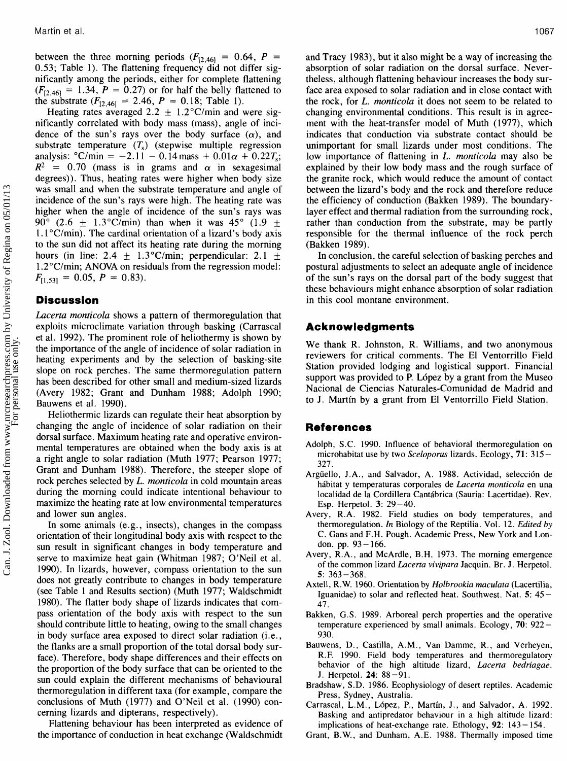between the three morning periods  $(F<sub>12,461</sub> = 0.64, P =$ 0.53; Table 1). The flattening frequency did not differ significantly among the periods, either for complete flattening  $(F<sub>12.461</sub> = 1.34, P = 0.27)$  or for half the belly flattened to the substrate  $(F_{[2,46]} = 2.46, P = 0.18;$  Table 1).

Heating rates averaged 2.2  $\pm$  1.2°C/min and were significantly correlated with body mass (mass), angle of incidence of the sun's rays over the body surface  $(\alpha)$ , and substrate temperature  $(T_s)$  (stepwise multiple regression analysis:  $\degree$ C/min = -2.11 - 0.14 mass + 0.01 $\alpha$  + 0.22 $T_s$ ;  $R^2 = 0.70$  (mass is in grams and  $\alpha$  in sexagesimal degrees)). Thus, heating rates were higher when body size was small and when the substrate temperature and angle of incidence of the sun's rays were high. The heating rate was higher when the angle of incidence of the sun's rays was 90° (2.6  $\pm$  1.3°C/min) than when it was 45° (1.9  $\pm$  $1.1$  °C/min). The cardinal orientation of a lizard's body axis to the sun did not affect its heating rate during the morning hours (in line: 2.4  $\pm$  1.3°C/min; perpendicular: 2.1  $\pm$  $1.2^{\circ}$ C/min; ANOVA on residuals from the regression model:  $F_{[1,53]} = 0.05, P = 0.83$ .

# **Discussion**

*Lacerta monticola* shows a pattern of thermoregulation that exploits microclimate variation through basking (Carrascal et al. 1992). The prominent role of heliothermy is shown by the importance of the angle of incidence of solar radiation in heating experiments and by the selection of basking-site slope on rock perches. The same thermoregulation pattern has been described for other small and medium-sized lizards (Avery 1982; Grant and Dunham 1988; Adolph 1990; Bauwens et al. 1990).

Heliothermic lizards can regulate their heat absorption by changing the angle of incidence of solar radiation on their dorsal surface. Maximum heating rate and operative environmental temperatures are obtained when the body axis is at a right angle to solar radiation (Muth 1977; Pearson 1977; Grant and Dunham 1988). Therefore, the steeper slope of rock perches selected by L. *monticola* in cold mountain areas during the morning could indicate intentional behaviour to maximize the heating rate at low environmental temperatures and lower sun angles.

In some animals (e.g., insects), changes in the compass orientation of their longitudinal body axis with respect to the sun result in significant changes in body temperature and serve to maximize heat gain (Whitman 1987; O'Neil et al. 1990). In lizards, however, compass orientation to the sun does not greatly contribute to changes in body temperature (see Table 1 and Results section) (Muth 1977; Waldschmidt 1980). The flatter body shape of lizards indicates that compass orientation of the body axis with respect to the sun should contribute little to heating, owing to the small changes in body surface area exposed to direct solar radiation (i.e., the flanks are a small proportion of the total dorsal body surface). Therefore, body shape differences and their effects on the proportion of the body surface that can be oriented to the sun could explain the different mechanisms of behavioural thermoregulation in different taxa (for example, compare the conclusions of Muth (1977) and 07Neil et al. (1990) concerning lizards and dipterans, respectively).

Flattening behaviour has been interpreted as evidence of the importance of conduction in heat exchange (Waldschmidt and Tracy 1983), but it also might be a way of increasing the absorption of solar radiation on the dorsal surface. Nevertheless, although flattening behaviour increases the body surface area exposed to solar radiation and in close contact with the rock, for L. *monticola* it does not seem to be related to changing environmental conditions. This result is in agreement with the heat-transfer model of Muth (1977), which indicates that conduction via substrate contact should be unimportant for small lizards under most conditions. The low importance of flattening in L. *monticola* may also be explained by their low body mass and the rough surface of the granite rock, which would reduce the amount of contact between the lizard's body and the rock and therefore reduce the efficiency of conduction (Bakken 1989). The boundarylayer effect and thermal radiation from the surrounding rock, rather than conduction from the substrate, may be partly responsible for the thermal influence of the rock perch (Bakken 1989).

In conclusion, the careful selection of basking perches and postural adjustments to select an adequate angle of incidence of the sun's rays on the dorsal part of the body suggest that these behaviours might enhance absorption of solar radiation in this cool montane environment.

## **Acknowledgments**

We thank R. Johnston, R. Williams, and two anonymous reviewers for critical comments. The El Ventorrillo Field Station provided lodging and logistical support. Financial support was provided to P. López by a grant from the Museo Nacional de Ciencias Naturales-Comunidad de Madrid and to J. Martin by a grant from El Ventorrillo Field Station.

# **References**

- Adolph, S.C. 1990. Influence of behavioral thermoregulation on **microhabitat use by two** *Sceloporus* **lizards. Ecology, 71: 3 15** - **327.**
- Argüello, J.A., and Salvador, A. 1988. Actividad, selección de **habitat y temperaturas corporales de** *Lacerta monticola* **en una**  localidad de la Cordillera Cantábrica (Sauria: Lacertidae). Rev. **Esp. Herpetol. 3: 29-40.**
- **Avery, R.A. 1982. Field studies on body temperatures, and thermoregulation. In Biology of the Reptilia. Vol. 12.** *Edited by*  **C. Gans and F.H. Pough. Academic Press, New York and London. pp. 93- 166.**
- **Avery, R.A., and McArdle, B.H. 1973. The morning emergence of the common lizard** *Lacerta vivipara* **Jacquin. Br. J. Herpetol. 5: 363-368.**
- **Axtell, R. W. 1960. Orientation by** *Holbrookia maculata* **(Lacertilia, Iguanidae) to solar and reflected heat. Southwest. Nat. 5: 45- 47.**
- **Bakken, G.S. 1989. Arboreal perch properties and the operative temperature experienced by small animals. Ecology, 70: 922** - **930.**
- **Bauwens, D., Castilla, A.M., Van Damme, R., and Verheyen, R.F. 1990. Field body temperatures and thermoregulatory behavior of the high altitude lizard,** *Lacerta bedriagae.*  **J. Herpetol. 24: 88-91.**
- **Bradshaw** , **S** . **D** . **1986. Ecophysiology of desert reptiles. Academic Press, Sydney, Australia.**
- Carrascal, L.M., López, P., Martín, J., and Salvador, A. 1992. **Basking and antipredator behaviour in a high altitude lizard: implications of heat-exchange rate. Ethology, 92: 143 – 154.**
- **Grant, B.W., and Dunham, A.E. 1988. Thermally imposed time**